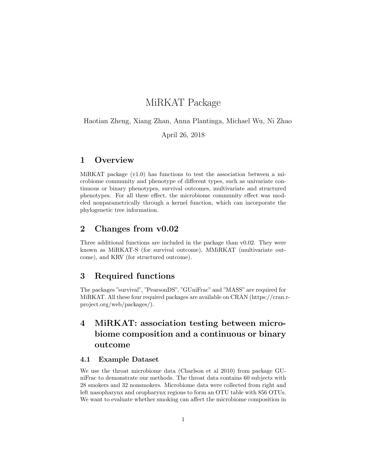# MiRKAT Package

Haotian Zheng, Xiang Zhan, Anna Plantinga, Michael Wu, Ni Zhao

April 26, 2018

### 1 Overview

MiRKAT package  $(v1.0)$  has functions to test the association between a microbiome community and phenotype of different types, such as univariate continuous or binary phenotypes, survival outcomes, multivariate and structured phenotypes. For all these effect, the microbiome community effect was modeled nonparametrically through a kernel function, which can incorporate the phylogenetic tree information.

## 2 Changes from v0.02

Three additional functions are included in the package than v0.02. They were known as MiRKAT-S (for survival outcome), MMiRKAT (multivariate outcome), and KRV (for structured outcome).

## 3 Required functions

The packages "survival", "PearsonDS", "GUniFrac" and "MASS" are required for MiRKAT. All these four required packages are available on CRAN (https://cran.rproject.org/web/packages/).

# 4 MiRKAT: association testing between microbiome composition and a continuous or binary outcome

### 4.1 Example Dataset

We use the throat microbiome data (Charlson et al 2010) from package GUniFrac to demonstrate our methods. The throat data contains 60 subjects with 28 smokers and 32 nonsmokers. Microbiome data were collected from right and left nasopharynx and oropharynx regions to form an OTU table with 856 OTUs. We want to evaluate whether smoking can affect the microbiome composition in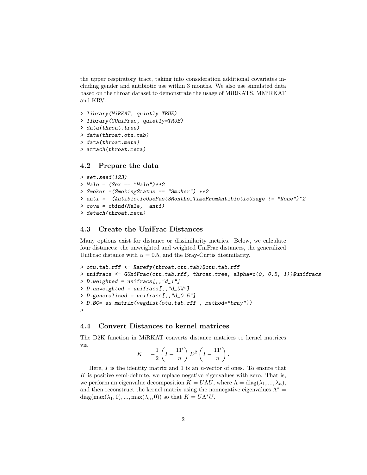the upper respiratory tract, taking into consideration additional covariates including gender and antibiotic use within 3 months. We also use simulated data based on the throat dataset to demonstrate the usage of MiRKATS, MMiRKAT and KRV.

```
> library(MiRKAT, quietly=TRUE)
> library(GUniFrac, quietly=TRUE)
> data(throat.tree)
> data(throat.otu.tab)
> data(throat.meta)
> attach(throat.meta)
```
### 4.2 Prepare the data

```
> set.seed(123)
> Male = (Sex == "Male")**2
> Smoker =(SmokingStatus == "Smoker") **2
> anti = (AntibioticUsePast3Months_TimeFromAntibioticUsage != "None")^2
> cova = cbind(Male, anti)
> detach(throat.meta)
```
### 4.3 Create the UniFrac Distances

Many options exist for distance or dissimilarity metrics. Below, we calculate four distances: the unweighted and weighted UniFrac distances, the generalized UniFrac distance with  $\alpha = 0.5$ , and the Bray-Curtis dissimilarity.

```
> otu.tab.rff <- Rarefy(throat.otu.tab)$otu.tab.rff
> unifracs <- GUniFrac(otu.tab.rff, throat.tree, alpha=c(0, 0.5, 1))$unifracs
> D. weighted = unifrac[0, 'd_1'']> D.unweighted = unifracs[,,"d_UW"]
> D.generalized = unifracs[,,"d_0.5"]
> D.BC= as.matrix(vegdist(otu.tab.rff , method="bray"))
>
```
### 4.4 Convert Distances to kernel matrices

The D2K function in MiRKAT converts distance matrices to kernel matrices via

$$
K = -\frac{1}{2}\left(I - \frac{11'}{n}\right)D^2\left(I - \frac{11'}{n}\right).
$$

Here,  $I$  is the identity matrix and 1 is an *n*-vector of ones. To ensure that  $K$  is positive semi-definite, we replace negative eigenvalues with zero. That is, we perform an eigenvalue decomposition  $K = U\Lambda U$ , where  $\Lambda = \text{diag}(\lambda_1, ..., \lambda_n)$ , and then reconstruct the kernel matrix using the nonnegative eigenvalues  $\Lambda^*$  = diag(max( $\lambda_1$ , 0), ..., max( $\lambda_n$ , 0)) so that  $K = U \Lambda^* U$ .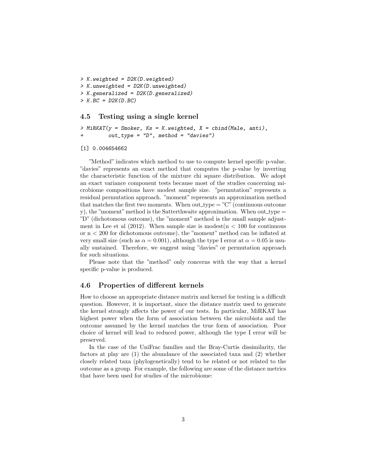```
> K.weighted = D2K(D.weighted)
> K.unweighted = D2K(D.unweighted)
> K.generalized = D2K(D.generalized)
> K. BC = D2K(D. BC)
```
### 4.5 Testing using a single kernel

```
> MiRKAT(y = Smoker, Ks = K.weighted, X = cbind(Male, anti),
+ out_type = "D", method = "davies")
```
#### [1] 0.004654662

"Method" indicates which method to use to compute kernel specific p-value. "davies" represents an exact method that computes the p-value by inverting the characteristic function of the mixture chi square distribution. We adopt an exact variance component tests because most of the studies concerning microbiome compositions have modest sample size. "permutation" represents a residual permutation approach. "moment" represents an approximation method that matches the first two moments. When out\_type =  $C^{\prime\prime}$  (continuous outcome y), the "moment" method is the Satterthwaite approximation. When out type  $=$ "D" (dichotomous outcome), the "moment" method is the small sample adjustment in Lee et al  $(2012)$ . When sample size is modest $(n < 100$  for continuous or n < 200 for dichotomous outcome), the "moment" method can be inflated at very small size (such as  $\alpha = 0.001$ ), although the type I error at  $\alpha = 0.05$  is usually sustained. Therefore, we suggest using "davies" or permutation approach for such situations.

Please note that the "method" only concerns with the way that a kernel specific p-value is produced.

### 4.6 Properties of different kernels

How to choose an appropriate distance matrix and kernel for testing is a difficult question. However, it is important, since the distance matrix used to generate the kernel strongly affects the power of our tests. In particular, MiRKAT has highest power when the form of association between the microbiota and the outcome assumed by the kernel matches the true form of association. Poor choice of kernel will lead to reduced power, although the type I error will be preserved.

In the case of the UniFrac families and the Bray-Curtis dissimilarity, the factors at play are (1) the abundance of the associated taxa and (2) whether closely related taxa (phylogenetically) tend to be related or not related to the outcome as a group. For example, the following are some of the distance metrics that have been used for studies of the microbiome: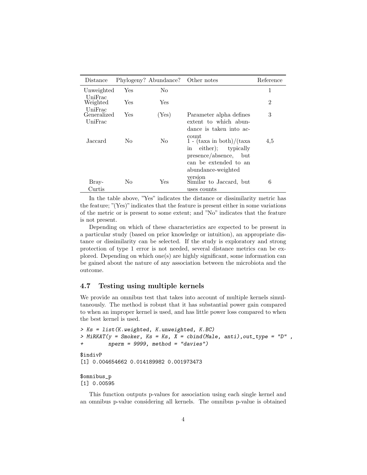| Distance               |     | Phylogeny? Abundance? Other notes |                                                    | Reference      |
|------------------------|-----|-----------------------------------|----------------------------------------------------|----------------|
| Unweighted             | Yes | No.                               |                                                    | 1              |
| UniFrac<br>Weighted    | Yes | Yes                               |                                                    | $\overline{2}$ |
| UniFrac<br>Generalized | Yes | (Yes)                             | Parameter alpha defines                            | 3              |
| UniFrac                |     |                                   | extent to which abun-                              |                |
|                        |     |                                   | dance is taken into ac-                            |                |
| Jaccard                | No. | No.                               | count<br>1 - $(\text{taxa in both})/(\text{taxa})$ | 4,5            |
|                        |     |                                   | either); typically<br>in                           |                |
|                        |     |                                   | presence/absence,<br>but                           |                |
|                        |     |                                   | can be extended to an                              |                |
|                        |     |                                   | abundance-weighted                                 |                |
| Bray-                  | No. | Yes                               | version<br>Similar to Jaccard, but                 | 6              |
| Curtis                 |     |                                   | uses counts                                        |                |

In the table above, "Yes" indicates the distance or dissimilarity metric has the feature;  $\Gamma$ (Yes)" indicates that the feature is present either in some variations of the metric or is present to some extent; and "No" indicates that the feature is not present.

Depending on which of these characteristics are expected to be present in a particular study (based on prior knowledge or intuition), an appropriate distance or dissimilarity can be selected. If the study is exploratory and strong protection of type 1 error is not needed, several distance metrics can be explored. Depending on which one(s) are highly significant, some information can be gained about the nature of any association between the microbiota and the outcome.

### 4.7 Testing using multiple kernels

We provide an omnibus test that takes into account of multiple kernels simultaneously. The method is robust that it has substantial power gain compared to when an improper kernel is used, and has little power loss compared to when the best kernel is used.

```
> Ks = list(K.weighted, K.unweighted, K.BC)
> MiRKAT(y = Smoker, Ks = Ks, X = cbind(Male, anti), out_type = "D",
+ nperm = 9999, method = "davies")
$indivP
[1] 0.004654662 0.014189982 0.001973473
```
\$omnibus\_p [1] 0.00595

This function outputs p-values for association using each single kernel and an omnibus p-value considering all kernels. The omnibus p-value is obtained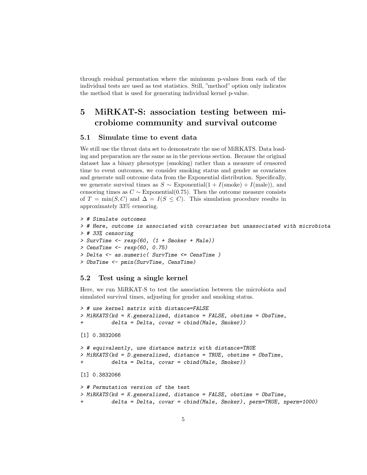through residual permutation where the minimum p-values from each of the individual tests are used as test statistics. Still, "method" option only indicates the method that is used for generating individual kernel p-value.

# 5 MiRKAT-S: association testing between microbiome community and survival outcome

### 5.1 Simulate time to event data

We still use the throat data set to demonstrate the use of MiRKATS. Data loading and preparation are the same as in the previous section. Because the original dataset has a binary phenotype (smoking) rather than a measure of censored time to event outcomes, we consider smoking status and gender as covariates and generate null outcome data from the Exponential distribution. Specifically, we generate survival times as  $S \sim$  Exponential(1 + I(smoke) + I(male)), and censoring times as  $C \sim$  Exponential(0.75). Then the outcome measure consists of  $T = \min(S, C)$  and  $\Delta = I(S \leq C)$ . This simulation procedure results in approximately 33% censoring.

```
> # Simulate outcomes
> # Here, outcome is associated with covariates but unassociated with microbiota
> # 33% censoring
> SurvTime <- rexp(60, (1 + Smoker + Male))
> CensTime <- rexp(60, 0.75)
> Delta <- as.numeric( SurvTime <= CensTime )
> ObsTime <- pmin(SurvTime, CensTime)
```
### 5.2 Test using a single kernel

Here, we run MiRKAT-S to test the association between the microbiota and simulated survival times, adjusting for gender and smoking status.

```
> # use kernel matrix with distance=FALSE
> MiRKATS(kd = K.generalized, distance = FALSE, obstime = ObsTime,
          delta = Delta, covar = child(Male, Smoker))[1] 0.3832066
> # equivalently, use distance matrix with distance=TRUE
> MiRKATS(kd = D.generalized, distance = TRUE, obstime = ObsTime,
          delta = Delta, covar = child(Male, Smoker))[1] 0.3832066
> # Permutation version of the test
> MiRKATS(kd = K.generalized, distance = FALSE, obstime = ObsTime,
          delta = Delta, covar = cbind(Male, Smoker), perm=TRUE, nperm=1000)
```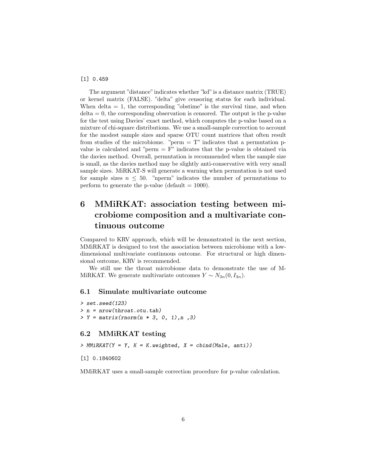#### [1] 0.459

The argument "distance"indicates whether "kd"is a distance matrix (TRUE) or kernel matrix (FALSE). "delta" give censoring status for each individual. When delta  $= 1$ , the corresponding "obstime" is the survival time, and when  $delta = 0$ , the corresponding observation is censored. The output is the p-value for the test using Davies' exact method, which computes the p-value based on a mixture of chi-square distributions. We use a small-sample correction to account for the modest sample sizes and sparse OTU count matrices that often result from studies of the microbiome. "perm  $= T$ " indicates that a permutation pvalue is calculated and "perm  $=$  F" indicates that the p-value is obtained via the davies method. Overall, permutation is recommended when the sample size is small, as the davies method may be slightly anti-conservative with very small sample sizes. MiRKAT-S will generate a warning when permutation is not used for sample sizes  $n \leq 50$ . "nperm" indicates the number of permutations to perform to generate the p-value (default  $= 1000$ ).

# 6 MMiRKAT: association testing between microbiome composition and a multivariate continuous outcome

Compared to KRV approach, which will be demonstrated in the next section, MMiRKAT is designed to test the association between microbiome with a lowdimensional multivariate continuous outcome. For structural or high dimensional outcome, KRV is recommended.

We still use the throat microbiome data to demonstrate the use of M-MiRKAT. We generate multivariate outcomes  $Y \sim N_{3n}(0, I_{3n}).$ 

### 6.1 Simulate multivariate outcome

```
> set.seed(123)
> n = nrow(throat.otu.tab)> Y = matrix(rnorm(n * 3, 0, 1), n, 3)
```
### 6.2 MMiRKAT testing

 $>$  MMiRKAT(Y = Y, K = K.weighted, X = cbind(Male, anti))

[1] 0.1840602

MMiRKAT uses a small-sample correction procedure for p-value calculation.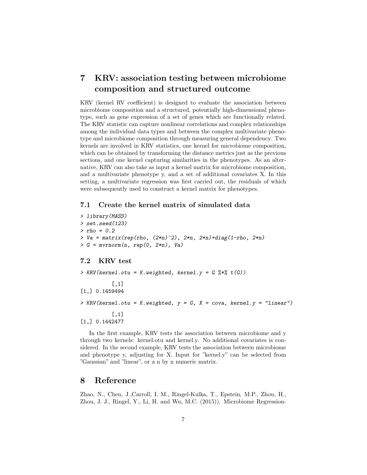# 7 KRV: association testing between microbiome composition and structured outcome

KRV (kernel RV coefficient) is designed to evaluate the association between microbiome composition and a structured, potentially high-dimensional phenotype, such as gene expression of a set of genes which are functionally related. The KRV statistic can capture nonlinear correlations and complex relationships among the individual data types and between the complex multivariate phenotype and microbiome composition through measuring general dependency. Two kernels are involved in KRV statistics, one kernel for microbiome composition, which can be obtained by transforming the distance metrics just as the previous sections, and one kernel capturing similarities in the phenotypes. As an alternative, KRV can also take as input a kernel matrix for microbiome composition, and a multivariate phenotype y, and a set of additional covariates X. In this setting, a multivariate regression was first carried out, the residuals of which were subsequently used to construct a kernel matrix for phenotypes.

### 7.1 Create the kernel matrix of simulated data

> library(MASS) > set.seed(123)  $>$  rho = 0.2  $> Va = matrix(rep(rho, (2*n)^2), 2*n, 2*n)+diag(1-rho, 2*n)$  $> G = mvrnorm(n, rep(0, 2*n), Va)$ 

### 7.2 KRV test

> KRV(kernel.otu = K.weighted, kernel.y =  $G \text{ %} * \text{ %} t(G)$ )  $[,1]$ [1,] 0.1459494  $>$  KRV(kernel.otu = K.weighted,  $y = G$ ,  $X = cov$ a, kernel. $y =$  "linear") [,1] [1,] 0.1442477

In the first example, KRV tests the association between microbiome and y through two kernels: kernel.otu and kernel.y. No additional covariates is considered. In the second example, KRV tests the association between microbiome and phenotype y, adjusting for X. Input for "kernel.y" can be selected from "Gaussian" and "linear", or a n by n numeric matrix.

### 8 Reference

Zhao, N., Chen, J.,Carroll, I. M., Ringel-Kulka, T., Epstein, M.P., Zhou, H., Zhou, J. J., Ringel, Y., Li, H. and Wu, M.C. (2015)). Microbiome Regression-